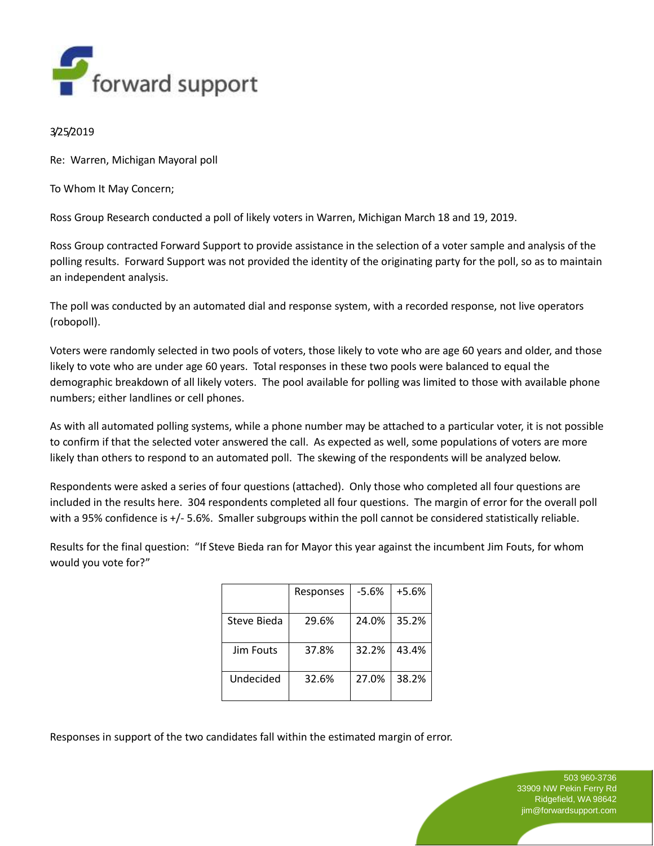

## 3/25/2019

Re: Warren, Michigan Mayoral poll

To Whom It May Concern;

Ross Group Research conducted a poll of likely voters in Warren, Michigan March 18 and 19, 2019.

Ross Group contracted Forward Support to provide assistance in the selection of a voter sample and analysis of the polling results. Forward Support was not provided the identity of the originating party for the poll, so as to maintain an independent analysis.

The poll was conducted by an automated dial and response system, with a recorded response, not live operators (robopoll).

Voters were randomly selected in two pools of voters, those likely to vote who are age 60 years and older, and those likely to vote who are under age 60 years. Total responses in these two pools were balanced to equal the demographic breakdown of all likely voters. The pool available for polling was limited to those with available phone numbers; either landlines or cell phones.

As with all automated polling systems, while a phone number may be attached to a particular voter, it is not possible to confirm if that the selected voter answered the call. As expected as well, some populations of voters are more likely than others to respond to an automated poll. The skewing of the respondents will be analyzed below.

Respondents were asked a series of four questions (attached). Only those who completed all four questions are included in the results here. 304 respondents completed all four questions. The margin of error for the overall poll with a 95% confidence is +/- 5.6%. Smaller subgroups within the poll cannot be considered statistically reliable.

Results for the final question: "If Steve Bieda ran for Mayor this year against the incumbent Jim Fouts, for whom would you vote for?"

|                  | Responses | -5.6% | +5.6% |
|------------------|-----------|-------|-------|
| Steve Bieda      | 29.6%     | 24.0% | 35.2% |
| <b>Jim Fouts</b> | 37.8%     | 32.2% | 43.4% |
| Undecided        | 32.6%     | 27.0% | 38.2% |

Responses in support of the two candidates fall within the estimated margin of error.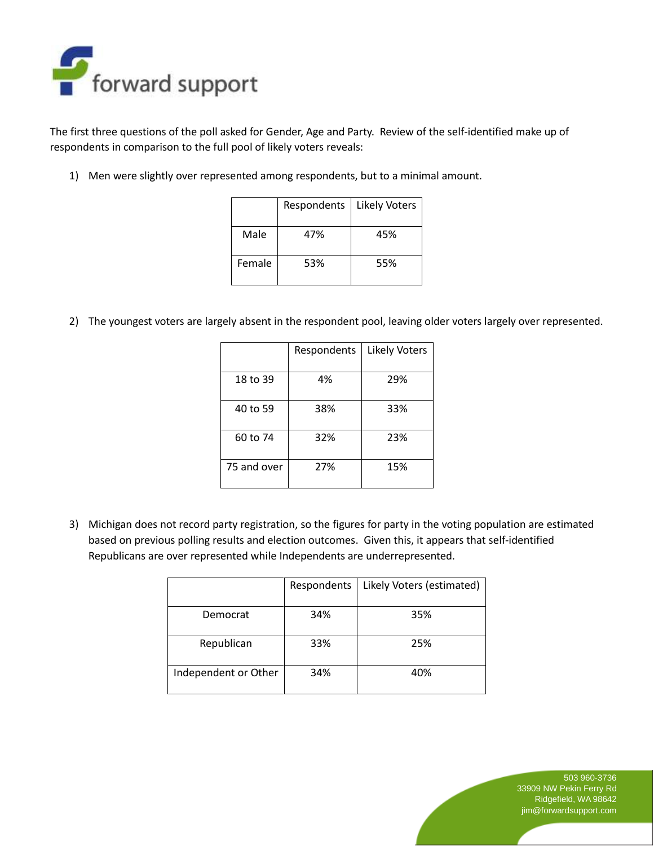

The first three questions of the poll asked for Gender, Age and Party. Review of the self-identified make up of respondents in comparison to the full pool of likely voters reveals:

1) Men were slightly over represented among respondents, but to a minimal amount.

|        | Respondents | <b>Likely Voters</b> |
|--------|-------------|----------------------|
| Male   | 47%         | 45%                  |
| Female | 53%         | 55%                  |

2) The youngest voters are largely absent in the respondent pool, leaving older voters largely over represented.

|             | Respondents | Likely Voters |
|-------------|-------------|---------------|
| 18 to 39    | 4%          | 29%           |
| 40 to 59    | 38%         | 33%           |
| 60 to 74    | 32%         | 23%           |
| 75 and over | 27%         | 15%           |

3) Michigan does not record party registration, so the figures for party in the voting population are estimated based on previous polling results and election outcomes. Given this, it appears that self-identified Republicans are over represented while Independents are underrepresented.

|                      | Respondents | Likely Voters (estimated) |
|----------------------|-------------|---------------------------|
| Democrat             | 34%         | 35%                       |
| Republican           | 33%         | 25%                       |
| Independent or Other | 34%         | 40%                       |

503 960-3736 33909 NW Pekin Ferry Rd Ridgefield, WA 98642 jim@forwardsupport.com